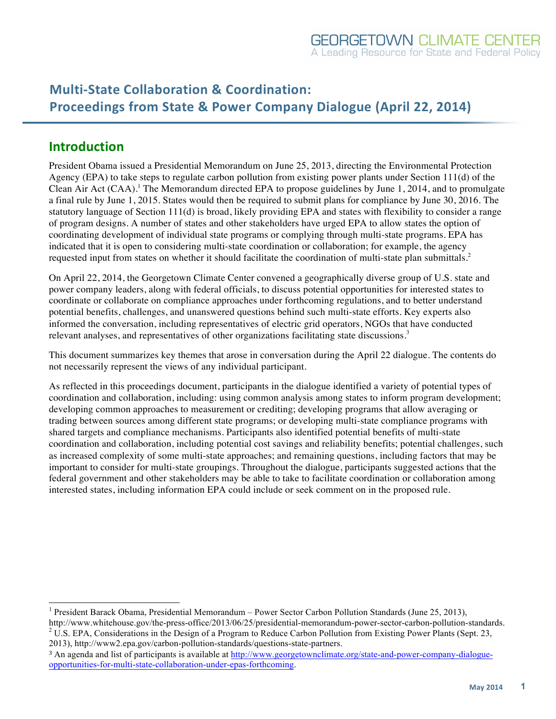# **Multi-State Collaboration & Coordination: Proceedings from State & Power Company Dialogue (April 22, 2014)**

## **Introduction**

President Obama issued a Presidential Memorandum on June 25, 2013, directing the Environmental Protection Agency (EPA) to take steps to regulate carbon pollution from existing power plants under Section 111(d) of the Clean Air Act  $(CAA)$ .<sup>1</sup> The Memorandum directed EPA to propose guidelines by June 1, 2014, and to promulgate a final rule by June 1, 2015. States would then be required to submit plans for compliance by June 30, 2016. The statutory language of Section 111(d) is broad, likely providing EPA and states with flexibility to consider a range of program designs. A number of states and other stakeholders have urged EPA to allow states the option of coordinating development of individual state programs or complying through multi-state programs. EPA has indicated that it is open to considering multi-state coordination or collaboration; for example, the agency requested input from states on whether it should facilitate the coordination of multi-state plan submittals. 2

On April 22, 2014, the Georgetown Climate Center convened a geographically diverse group of U.S. state and power company leaders, along with federal officials, to discuss potential opportunities for interested states to coordinate or collaborate on compliance approaches under forthcoming regulations, and to better understand potential benefits, challenges, and unanswered questions behind such multi-state efforts. Key experts also informed the conversation, including representatives of electric grid operators, NGOs that have conducted relevant analyses, and representatives of other organizations facilitating state discussions.<sup>3</sup>

This document summarizes key themes that arose in conversation during the April 22 dialogue. The contents do not necessarily represent the views of any individual participant.

As reflected in this proceedings document, participants in the dialogue identified a variety of potential types of coordination and collaboration, including: using common analysis among states to inform program development; developing common approaches to measurement or crediting; developing programs that allow averaging or trading between sources among different state programs; or developing multi-state compliance programs with shared targets and compliance mechanisms. Participants also identified potential benefits of multi-state coordination and collaboration, including potential cost savings and reliability benefits; potential challenges, such as increased complexity of some multi-state approaches; and remaining questions, including factors that may be important to consider for multi-state groupings. Throughout the dialogue, participants suggested actions that the federal government and other stakeholders may be able to take to facilitate coordination or collaboration among interested states, including information EPA could include or seek comment on in the proposed rule.

 <sup>1</sup> President Barack Obama, Presidential Memorandum – Power Sector Carbon Pollution Standards (June 25, 2013),

http://www.whitehouse.gov/the-press-office/2013/06/25/presidential-memorandum-power-sector-carbon-pollution-standards.<br><sup>2</sup> U.S. EPA, Considerations in the Design of a Program to Reduce Carbon Pollution from Existing Power 2013), http://www2.epa.gov/carbon-pollution-standards/questions-state-partners.

<sup>3</sup> An agenda and list of participants is available at http://www.georgetownclimate.org/state-and-power-company-dialogueopportunities-for-multi-state-collaboration-under-epas-forthcoming.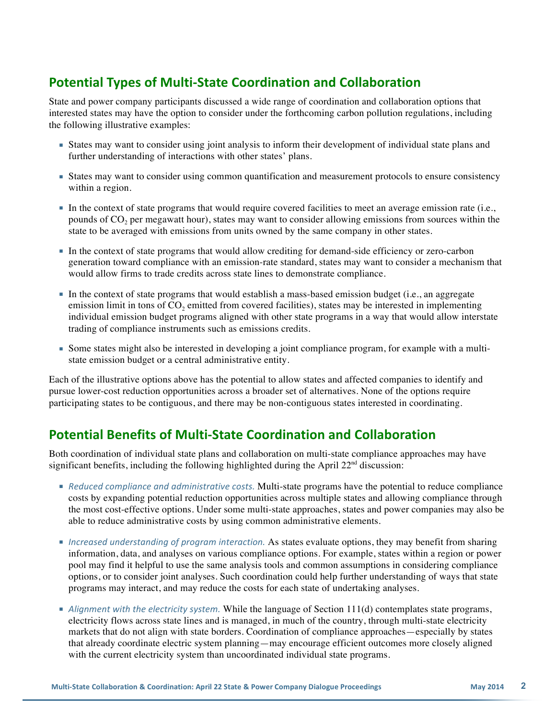# **Potential Types of Multi-State Coordination and Collaboration**

State and power company participants discussed a wide range of coordination and collaboration options that interested states may have the option to consider under the forthcoming carbon pollution regulations, including the following illustrative examples:

- States may want to consider using joint analysis to inform their development of individual state plans and further understanding of interactions with other states' plans.
- States may want to consider using common quantification and measurement protocols to ensure consistency within a region.
- In the context of state programs that would require covered facilities to meet an average emission rate (i.e., pounds of CO2 per megawatt hour), states may want to consider allowing emissions from sources within the state to be averaged with emissions from units owned by the same company in other states.
- In the context of state programs that would allow crediting for demand-side efficiency or zero-carbon generation toward compliance with an emission-rate standard, states may want to consider a mechanism that would allow firms to trade credits across state lines to demonstrate compliance.
- In the context of state programs that would establish a mass-based emission budget (i.e., an aggregate emission limit in tons of CO<sub>2</sub> emitted from covered facilities), states may be interested in implementing individual emission budget programs aligned with other state programs in a way that would allow interstate trading of compliance instruments such as emissions credits.
- Some states might also be interested in developing a joint compliance program, for example with a multistate emission budget or a central administrative entity.

Each of the illustrative options above has the potential to allow states and affected companies to identify and pursue lower-cost reduction opportunities across a broader set of alternatives. None of the options require participating states to be contiguous, and there may be non-contiguous states interested in coordinating.

## **Potential Benefits of Multi-State Coordination and Collaboration**

Both coordination of individual state plans and collaboration on multi-state compliance approaches may have significant benefits, including the following highlighted during the April  $22<sup>nd</sup>$  discussion:

- **•** Reduced compliance and administrative costs. Multi-state programs have the potential to reduce compliance costs by expanding potential reduction opportunities across multiple states and allowing compliance through the most cost-effective options. Under some multi-state approaches, states and power companies may also be able to reduce administrative costs by using common administrative elements.
- Increased understanding of program interaction. As states evaluate options, they may benefit from sharing information, data, and analyses on various compliance options. For example, states within a region or power pool may find it helpful to use the same analysis tools and common assumptions in considering compliance options, or to consider joint analyses. Such coordination could help further understanding of ways that state programs may interact, and may reduce the costs for each state of undertaking analyses.
- **Alignment** with the electricity system. While the language of Section 111(d) contemplates state programs, electricity flows across state lines and is managed, in much of the country, through multi-state electricity markets that do not align with state borders. Coordination of compliance approaches—especially by states that already coordinate electric system planning—may encourage efficient outcomes more closely aligned with the current electricity system than uncoordinated individual state programs.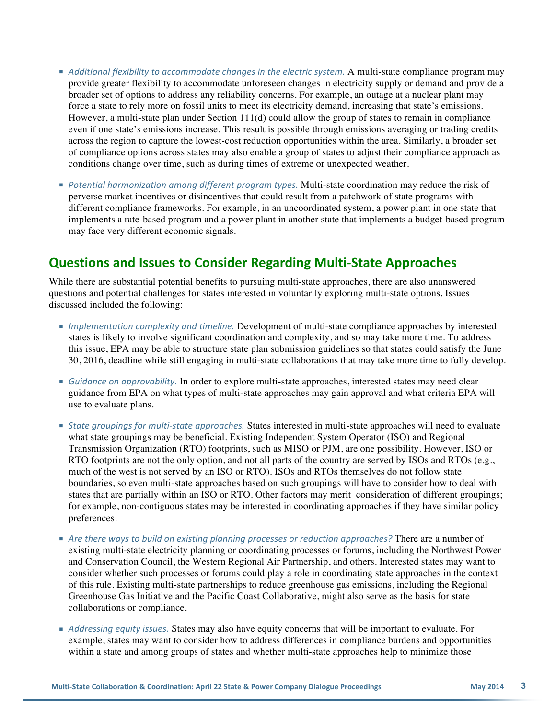- **Additional flexibility to accommodate changes in the electric system. A multi-state compliance program may** provide greater flexibility to accommodate unforeseen changes in electricity supply or demand and provide a broader set of options to address any reliability concerns. For example, an outage at a nuclear plant may force a state to rely more on fossil units to meet its electricity demand, increasing that state's emissions. However, a multi-state plan under Section 111(d) could allow the group of states to remain in compliance even if one state's emissions increase. This result is possible through emissions averaging or trading credits across the region to capture the lowest-cost reduction opportunities within the area. Similarly, a broader set of compliance options across states may also enable a group of states to adjust their compliance approach as conditions change over time, such as during times of extreme or unexpected weather.
- **Potential harmonization among different program types. Multi-state coordination may reduce the risk of** perverse market incentives or disincentives that could result from a patchwork of state programs with different compliance frameworks. For example, in an uncoordinated system, a power plant in one state that implements a rate-based program and a power plant in another state that implements a budget-based program may face very different economic signals.

#### **Questions and Issues to Consider Regarding Multi-State Approaches**

While there are substantial potential benefits to pursuing multi-state approaches, there are also unanswered questions and potential challenges for states interested in voluntarily exploring multi-state options. Issues discussed included the following:

- **Implementation complexity and timeline. Development of multi-state compliance approaches by interested** states is likely to involve significant coordination and complexity, and so may take more time. To address this issue, EPA may be able to structure state plan submission guidelines so that states could satisfy the June 30, 2016, deadline while still engaging in multi-state collaborations that may take more time to fully develop.
- **Guidance on approvability. In order to explore multi-state approaches, interested states may need clear** guidance from EPA on what types of multi-state approaches may gain approval and what criteria EPA will use to evaluate plans.
- **State groupings for multi-state approaches. States interested in multi-state approaches will need to evaluate** what state groupings may be beneficial. Existing Independent System Operator (ISO) and Regional Transmission Organization (RTO) footprints, such as MISO or PJM, are one possibility. However, ISO or RTO footprints are not the only option, and not all parts of the country are served by ISOs and RTOs (e.g., much of the west is not served by an ISO or RTO). ISOs and RTOs themselves do not follow state boundaries, so even multi-state approaches based on such groupings will have to consider how to deal with states that are partially within an ISO or RTO. Other factors may merit consideration of different groupings; for example, non-contiguous states may be interested in coordinating approaches if they have similar policy preferences.
- Are there ways to build on existing planning processes or reduction approaches? There are a number of existing multi-state electricity planning or coordinating processes or forums, including the Northwest Power and Conservation Council, the Western Regional Air Partnership, and others. Interested states may want to consider whether such processes or forums could play a role in coordinating state approaches in the context of this rule. Existing multi-state partnerships to reduce greenhouse gas emissions, including the Regional Greenhouse Gas Initiative and the Pacific Coast Collaborative, might also serve as the basis for state collaborations or compliance.
- **Addressing equity issues. States may also have equity concerns that will be important to evaluate. For** example, states may want to consider how to address differences in compliance burdens and opportunities within a state and among groups of states and whether multi-state approaches help to minimize those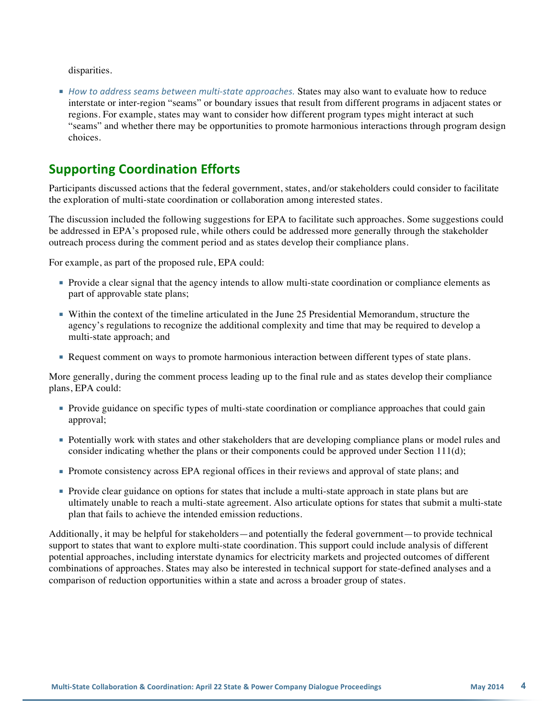disparities.

■ *How to address seams between multi-state approaches.* States may also want to evaluate how to reduce interstate or inter-region "seams" or boundary issues that result from different programs in adjacent states or regions. For example, states may want to consider how different program types might interact at such "seams" and whether there may be opportunities to promote harmonious interactions through program design choices.

### **Supporting Coordination Efforts**

Participants discussed actions that the federal government, states, and/or stakeholders could consider to facilitate the exploration of multi-state coordination or collaboration among interested states.

The discussion included the following suggestions for EPA to facilitate such approaches. Some suggestions could be addressed in EPA's proposed rule, while others could be addressed more generally through the stakeholder outreach process during the comment period and as states develop their compliance plans.

For example, as part of the proposed rule, EPA could:

- Provide a clear signal that the agency intends to allow multi-state coordination or compliance elements as part of approvable state plans;
- Within the context of the timeline articulated in the June 25 Presidential Memorandum, structure the agency's regulations to recognize the additional complexity and time that may be required to develop a multi-state approach; and
- **Request comment on ways to promote harmonious interaction between different types of state plans.**

More generally, during the comment process leading up to the final rule and as states develop their compliance plans, EPA could:

- Provide guidance on specific types of multi-state coordination or compliance approaches that could gain approval;
- Potentially work with states and other stakeholders that are developing compliance plans or model rules and consider indicating whether the plans or their components could be approved under Section 111(d);
- **Promote consistency across EPA regional offices in their reviews and approval of state plans; and**
- Provide clear guidance on options for states that include a multi-state approach in state plans but are ultimately unable to reach a multi-state agreement. Also articulate options for states that submit a multi-state plan that fails to achieve the intended emission reductions.

Additionally, it may be helpful for stakeholders—and potentially the federal government—to provide technical support to states that want to explore multi-state coordination. This support could include analysis of different potential approaches, including interstate dynamics for electricity markets and projected outcomes of different combinations of approaches. States may also be interested in technical support for state-defined analyses and a comparison of reduction opportunities within a state and across a broader group of states.